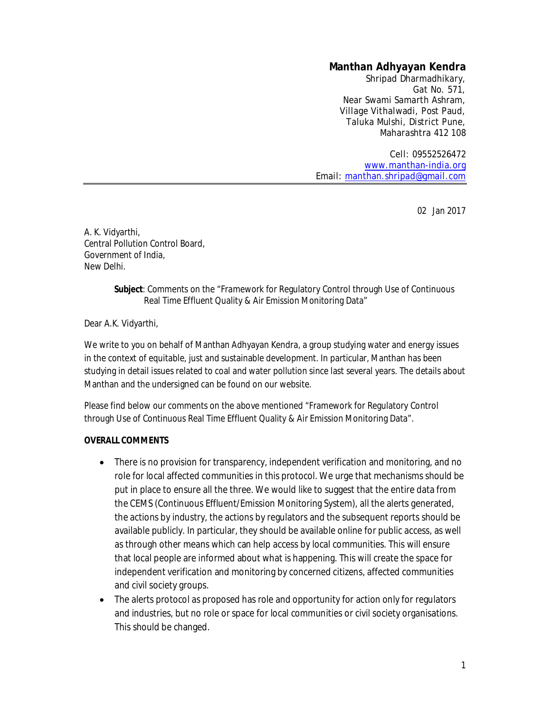## **Manthan Adhyayan Kendra**

Shripad Dharmadhikary, Gat No. 571, Near Swami Samarth Ashram, Village Vithalwadi, Post Paud, Taluka Mulshi, District Pune, Maharashtra 412 108

Cell: 09552526472 [www.manthan-india.org](http://www.manthan-india.org) Email: [manthan.shripad@gmail.com](mailto:manthan.shripad@gmail.com)

02 Jan 2017

A. K. Vidyarthi, Central Pollution Control Board, Government of India, New Delhi.

> **Subject**: Comments on the "Framework for Regulatory Control through Use of Continuous Real Time Effluent Quality & Air Emission Monitoring Data"

Dear A.K. Vidyarthi,

We write to you on behalf of Manthan Adhyayan Kendra, a group studying water and energy issues in the context of equitable, just and sustainable development. In particular, Manthan has been studying in detail issues related to coal and water pollution since last several years. The details about Manthan and the undersigned can be found on our website.

Please find below our comments on the above mentioned "Framework for Regulatory Control through Use of Continuous Real Time Effluent Quality & Air Emission Monitoring Data".

## **OVERALL COMMENTS**

- There is no provision for transparency, independent verification and monitoring, and no role for local affected communities in this protocol. We urge that mechanisms should be put in place to ensure all the three. We would like to suggest that the entire data from the CEMS (Continuous Effluent/Emission Monitoring System), all the alerts generated, the actions by industry, the actions by regulators and the subsequent reports should be available publicly. In particular, they should be available online for public access, as well as through other means which can help access by local communities. This will ensure that local people are informed about what is happening. This will create the space for independent verification and monitoring by concerned citizens, affected communities and civil society groups.
- The alerts protocol as proposed has role and opportunity for action only for regulators and industries, but no role or space for local communities or civil society organisations. This should be changed.